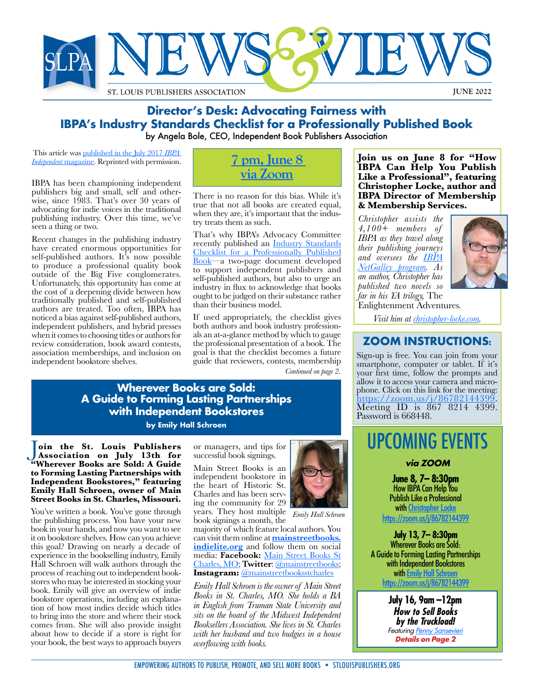

## **Director's Desk: Advocating Fairness with IBPA's Industry Standards Checklist for a Professionally Published Book** by Angela Bole, CEO, Independent Book Publishers Association

This article was [published in the July 2017](https://www.ibpa-online.org/news/news.asp?id=362905&hhSearchTerms=%22Director’s+and+Desk+and+Advocating+and+Fairness+and+IBPA’s%22) *IBPA [Independent](https://www.ibpa-online.org/news/news.asp?id=362905&hhSearchTerms=%22Director’s+and+Desk+and+Advocating+and+Fairness+and+IBPA’s%22)* magazine. Reprinted with permission.

IBPA has been championing independent publishers big and small, self and otherwise, since 1983. That's over 30 years of advocating for indie voices in the traditional publishing industry. Over this time, we've seen a thing or two.

Recent changes in the publishing industry have created enormous opportunities for self-published authors. It's now possible to produce a professional quality book outside of the Big Five conglomerates. Unfortunately, this opportunity has come at the cost of a deepening divide between how traditionally published and self-published authors are treated. Too often, IBPA has noticed a bias against self-published authors, independent publishers, and hybrid presses when it comes to choosing titles or authors for review consideration, book award contests, association memberships, and inclusion on independent bookstore shelves.



There is no reason for this bias. While it's true that not all books are created equal, when they are, it's important that the industry treats them as such.

That's why IBPA's Advocacy Committee recently published an [Industry Standards](https://www.ibpa-online.org/page/standardschecklist) [Checklist for a Professionally Published](https://www.ibpa-online.org/page/standardschecklist) [Book](https://www.ibpa-online.org/page/standardschecklist)—a two-page document developed to support independent publishers and self-published authors, but also to urge an industry in flux to acknowledge that books ought to be judged on their substance rather than their business model.

If used appropriately, the checklist gives als an at-a-glance method by which to gauge the professional presentation of a book. The goal is that the checklist becomes a future guide that reviewers, contests, membership *Continued on page 2.*

**Join us on June 8 for "How IBPA Can Help You Publish Like a Professional", featuring Christopher Locke, author and IBPA Director of Membership & Membership Services.** 

*Christopher assists the 4,100+ members of IBPA as they travel along their publishing journeys and oversees the [IBPA](https://www.ibpa-online.org/general/custom.asp?page=netgalley)  [NetGalley program.](https://www.ibpa-online.org/general/custom.asp?page=netgalley) As an author, Christopher has published two novels so far in his YA trilogy,* The Enlightenment Adventures*.* 



*Visit him at [christopher-locke.com.](https://christopher-locke.com)*

## **ZOOM INSTRUCTIONS:**

Sign-up is free. You can join from your smartphone, computer or tablet. If it's your first time, follow the prompts and allow it to access your camera and microphone. Click on this link for the meeting: [https://zoom.us/j/86782144399.](https://zoom.us/j/86782144399#success) [Meeting ID is 867 8214 4399.](https://zoom.us/j/86782144399#success) Password is 668448.

# UPCOMING EVENTS

## **via ZOOM**

**June 8, 7– 8:30pm** How IBPA Can Help You Publish Like a Professional with Christopher Lock

[https://zoom.us/j/86782144399](https://zoom.us/j/86782144399#success)

**July 13, 7– 8:30pm** Wherever Books are Sold: A Guide to Forming Lasting Partnerships with Independent Booksto[r](https://christopher-locke.com)es with <u>Emily Hall Schroen</u> [https://zoom.us/j/86782144399](https://zoom.us/j/86782144399#success)

> **July 16, 9am –12pm How to Sell Books by the Truckload!** Featuring [Penny Sansevieri](https://www.stlouispublishers.org/event-4841569) **Details on Page 2**

## **Wherever Books are Sold: A Guide to Forming Lasting Partnerships with Independent Bookstores**

**by Emily Hall Schroen**

J**oin the St. Louis Publishers Association on July 13th for "Wherever Books are Sold: A Guide to Forming Lasting Partnerships with Independent Bookstores," featuring Emily Hall Schroen, owner of Main Street Books in St. Charles, Missouri.**

You've written a book. You've gone through the publishing process. You have your new book in your hands, and now you want to see it on bookstore shelves. How can you achieve this goal? Drawing on nearly a decade of experience in the bookselling industry, Emily Hall Schroen will walk authors through the process of reaching out to independent bookstores who may be interested in stocking your book. Emily will give an overview of indie bookstore operations, including an explanation of how most indies decide which titles to bring into the store and where their stock comes from. She will also provide insight about how to decide if a store is right for your book, the best ways to approach buyers

or managers, and tips for successful book signings.

Main Street Books is an independent bookstore in the heart of Historic St. Charles and has been serving the community for 29 years. They host multiple *Emily Hall Schroen*



book signings a month, the majority of which feature local authors. You can visit them online at **[mainstreetbooks.](https://mainstreetbooks.indielite.org) [indielite.org](https://mainstreetbooks.indielite.org)** and follow them on social media: **Facebook:** [Main Street Books St](https://www.facebook.com/Main-Street-Books-St-Charles-MO-322859259329/) [Charles, MO](https://www.facebook.com/Main-Street-Books-St-Charles-MO-322859259329/); **Twitter**: [@mainstreetbooks;](https://twitter.com/mainstreetbooks) **Instagram:** [@mainstreetbooksstcharles](https://www.instagram.com/mainstreetbooksstcharles/)

*Emily Hall Schroen is the owner of Main Street Books in St. Charles, MO. She holds a BA in English from Truman State University and sits on the board of the Midwest Independent Booksellers Association. She lives in St. Charles with her husband and two budgies in a house overflowing with books.*